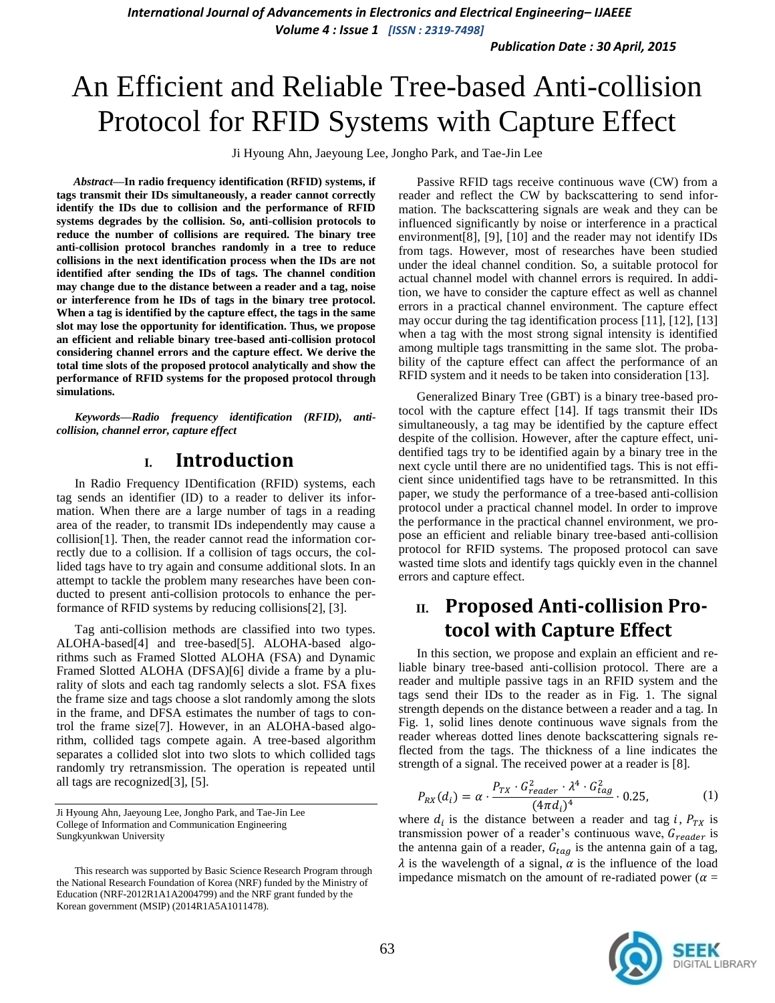*Publication Date : 30 April, 2015*

# An Efficient and Reliable Tree-based Anti-collision Protocol for RFID Systems with Capture Effect

Ji Hyoung Ahn, Jaeyoung Lee, Jongho Park, and Tae-Jin Lee

*Abstract***—In radio frequency identification (RFID) systems, if tags transmit their IDs simultaneously, a reader cannot correctly identify the IDs due to collision and the performance of RFID systems degrades by the collision. So, anti-collision protocols to reduce the number of collisions are required. The binary tree anti-collision protocol branches randomly in a tree to reduce collisions in the next identification process when the IDs are not identified after sending the IDs of tags. The channel condition may change due to the distance between a reader and a tag, noise or interference from he IDs of tags in the binary tree protocol. When a tag is identified by the capture effect, the tags in the same slot may lose the opportunity for identification. Thus, we propose an efficient and reliable binary tree-based anti-collision protocol considering channel errors and the capture effect. We derive the total time slots of the proposed protocol analytically and show the performance of RFID systems for the proposed protocol through simulations.**

*Keywords—Radio frequency identification (RFID), anticollision, channel error, capture effect*

# **I. Introduction**

In Radio Frequency IDentification (RFID) systems, each tag sends an identifier (ID) to a reader to deliver its information. When there are a large number of tags in a reading area of the reader, to transmit IDs independently may cause a collision[1]. Then, the reader cannot read the information correctly due to a collision. If a collision of tags occurs, the collided tags have to try again and consume additional slots. In an attempt to tackle the problem many researches have been conducted to present anti-collision protocols to enhance the performance of RFID systems by reducing collisions[2], [3].

Tag anti-collision methods are classified into two types. ALOHA-based[4] and tree-based[5]. ALOHA-based algorithms such as Framed Slotted ALOHA (FSA) and Dynamic Framed Slotted ALOHA (DFSA)[6] divide a frame by a plurality of slots and each tag randomly selects a slot. FSA fixes the frame size and tags choose a slot randomly among the slots in the frame, and DFSA estimates the number of tags to control the frame size[7]. However, in an ALOHA-based algorithm, collided tags compete again. A tree-based algorithm separates a collided slot into two slots to which collided tags randomly try retransmission. The operation is repeated until all tags are recognized[3], [5].

Passive RFID tags receive continuous wave (CW) from a reader and reflect the CW by backscattering to send information. The backscattering signals are weak and they can be influenced significantly by noise or interference in a practical environment[8], [9], [10] and the reader may not identify IDs from tags. However, most of researches have been studied under the ideal channel condition. So, a suitable protocol for actual channel model with channel errors is required. In addition, we have to consider the capture effect as well as channel errors in a practical channel environment. The capture effect may occur during the tag identification process [11], [12], [13] when a tag with the most strong signal intensity is identified among multiple tags transmitting in the same slot. The probability of the capture effect can affect the performance of an RFID system and it needs to be taken into consideration [13].

Generalized Binary Tree (GBT) is a binary tree-based protocol with the capture effect [14]. If tags transmit their IDs simultaneously, a tag may be identified by the capture effect despite of the collision. However, after the capture effect, unidentified tags try to be identified again by a binary tree in the next cycle until there are no unidentified tags. This is not efficient since unidentified tags have to be retransmitted. In this paper, we study the performance of a tree-based anti-collision protocol under a practical channel model. In order to improve the performance in the practical channel environment, we propose an efficient and reliable binary tree-based anti-collision protocol for RFID systems. The proposed protocol can save wasted time slots and identify tags quickly even in the channel errors and capture effect.

# **II. Proposed Anti-collision Protocol with Capture Effect**

In this section, we propose and explain an efficient and reliable binary tree-based anti-collision protocol. There are a reader and multiple passive tags in an RFID system and the tags send their IDs to the reader as in Fig. 1. The signal strength depends on the distance between a reader and a tag. In Fig. 1, solid lines denote continuous wave signals from the reader whereas dotted lines denote backscattering signals reflected from the tags. The thickness of a line indicates the strength of a signal. The received power at a reader is [8].

$$
P_{RX}(d_i) = \alpha \cdot \frac{P_{TX} \cdot G_{reader}^2 \cdot \lambda^4 \cdot G_{tag}^2}{(4\pi d_i)^4} \cdot 0.25,
$$
 (1)

where  $d_i$  is the distance between a reader and tag i,  $P_{TX}$  is transmission power of a reader's continuous wave,  $G_{reader}$  is the antenna gain of a reader,  $G_{tag}$  is the antenna gain of a tag,  $\lambda$  is the wavelength of a signal,  $\alpha$  is the influence of the load impedance mismatch on the amount of re-radiated power ( $\alpha$  =



Ji Hyoung Ahn, Jaeyoung Lee, Jongho Park, and Tae-Jin Lee College of Information and Communication Engineering Sungkyunkwan University

This research was supported by Basic Science Research Program through the National Research Foundation of Korea (NRF) funded by the Ministry of Education (NRF-2012R1A1A2004799) and the NRF grant funded by the Korean government (MSIP) (2014R1A5A1011478).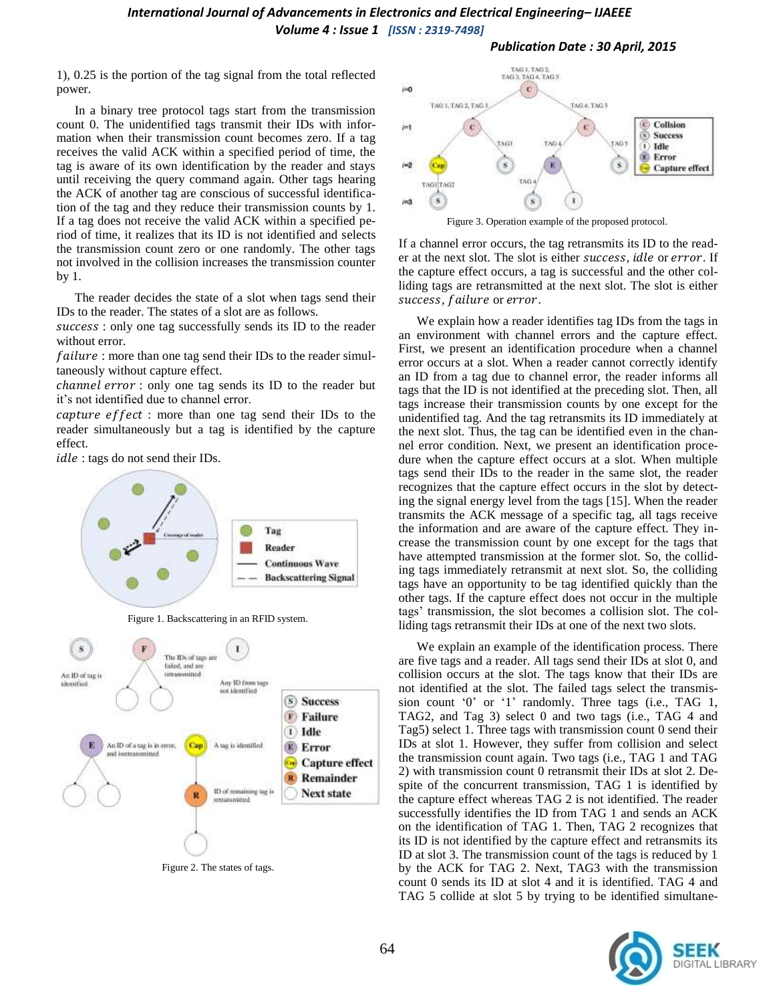1), 0.25 is the portion of the tag signal from the total reflected power.

In a binary tree protocol tags start from the transmission count 0. The unidentified tags transmit their IDs with information when their transmission count becomes zero. If a tag receives the valid ACK within a specified period of time, the tag is aware of its own identification by the reader and stays until receiving the query command again. Other tags hearing the ACK of another tag are conscious of successful identification of the tag and they reduce their transmission counts by 1. If a tag does not receive the valid ACK within a specified period of time, it realizes that its ID is not identified and selects the transmission count zero or one randomly. The other tags not involved in the collision increases the transmission counter by 1.

The reader decides the state of a slot when tags send their IDs to the reader. The states of a slot are as follows.

success : only one tag successfully sends its ID to the reader without error.

failure : more than one tag send their IDs to the reader simultaneously without capture effect.

channel error : only one tag sends its ID to the reader but it"s not identified due to channel error.

capture effect: more than one tag send their IDs to the reader simultaneously but a tag is identified by the capture effect.

idle : tags do not send their IDs.



Figure 1. Backscattering in an RFID system.



Figure 2. The states of tags.



Figure 3. Operation example of the proposed protocol.

If a channel error occurs, the tag retransmits its ID to the reader at the next slot. The slot is either *success*, *idle* or *error*. If the capture effect occurs, a tag is successful and the other colliding tags are retransmitted at the next slot. The slot is either success, failure or error.

We explain how a reader identifies tag IDs from the tags in an environment with channel errors and the capture effect. First, we present an identification procedure when a channel error occurs at a slot. When a reader cannot correctly identify an ID from a tag due to channel error, the reader informs all tags that the ID is not identified at the preceding slot. Then, all tags increase their transmission counts by one except for the unidentified tag. And the tag retransmits its ID immediately at the next slot. Thus, the tag can be identified even in the channel error condition. Next, we present an identification procedure when the capture effect occurs at a slot. When multiple tags send their IDs to the reader in the same slot, the reader recognizes that the capture effect occurs in the slot by detecting the signal energy level from the tags [15]. When the reader transmits the ACK message of a specific tag, all tags receive the information and are aware of the capture effect. They increase the transmission count by one except for the tags that have attempted transmission at the former slot. So, the colliding tags immediately retransmit at next slot. So, the colliding tags have an opportunity to be tag identified quickly than the other tags. If the capture effect does not occur in the multiple tags" transmission, the slot becomes a collision slot. The colliding tags retransmit their IDs at one of the next two slots.

We explain an example of the identification process. There are five tags and a reader. All tags send their IDs at slot 0, and collision occurs at the slot. The tags know that their IDs are not identified at the slot. The failed tags select the transmission count '0' or '1' randomly. Three tags (i.e., TAG 1, TAG2, and Tag 3) select 0 and two tags (i.e., TAG 4 and Tag5) select 1. Three tags with transmission count 0 send their IDs at slot 1. However, they suffer from collision and select the transmission count again. Two tags (i.e., TAG 1 and TAG 2) with transmission count 0 retransmit their IDs at slot 2. Despite of the concurrent transmission, TAG 1 is identified by the capture effect whereas TAG 2 is not identified. The reader successfully identifies the ID from TAG 1 and sends an ACK on the identification of TAG 1. Then, TAG 2 recognizes that its ID is not identified by the capture effect and retransmits its ID at slot 3. The transmission count of the tags is reduced by 1 by the ACK for TAG 2. Next, TAG3 with the transmission count 0 sends its ID at slot 4 and it is identified. TAG 4 and TAG 5 collide at slot 5 by trying to be identified simultane-

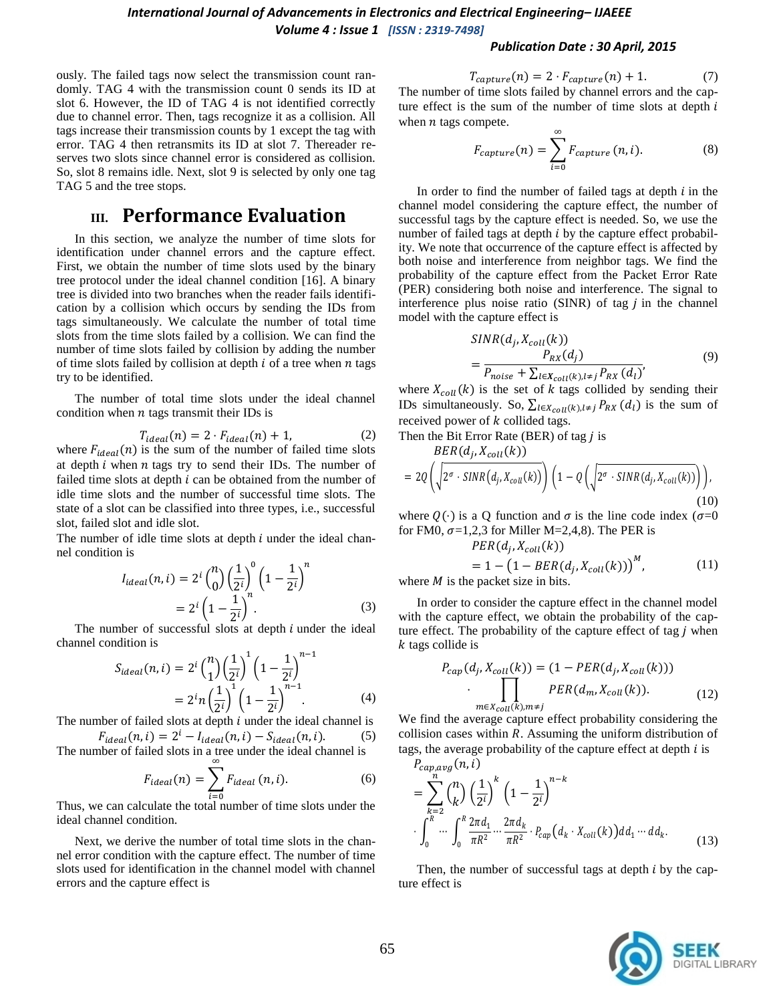#### *Publication Date : 30 April, 2015*

ously. The failed tags now select the transmission count randomly. TAG 4 with the transmission count 0 sends its ID at slot 6. However, the ID of TAG 4 is not identified correctly due to channel error. Then, tags recognize it as a collision. All tags increase their transmission counts by 1 except the tag with error. TAG 4 then retransmits its ID at slot 7. Thereader reserves two slots since channel error is considered as collision. So, slot 8 remains idle. Next, slot 9 is selected by only one tag TAG 5 and the tree stops.

# **III. Performance Evaluation**

In this section, we analyze the number of time slots for identification under channel errors and the capture effect. First, we obtain the number of time slots used by the binary tree protocol under the ideal channel condition [16]. A binary tree is divided into two branches when the reader fails identification by a collision which occurs by sending the IDs from tags simultaneously. We calculate the number of total time slots from the time slots failed by a collision. We can find the number of time slots failed by collision by adding the number of time slots failed by collision at depth  $i$  of a tree when  $n$  tags try to be identified.

The number of total time slots under the ideal channel condition when  $n$  tags transmit their IDs is

$$
T_{ideal}(n) = 2 \cdot F_{ideal}(n) + 1,\tag{2}
$$

where  $F_{ideal}(n)$  is the sum of the number of failed time slots at depth  $i$  when  $n$  tags try to send their IDs. The number of failed time slots at depth  $i$  can be obtained from the number of idle time slots and the number of successful time slots. The state of a slot can be classified into three types, i.e., successful slot, failed slot and idle slot.

The number of idle time slots at depth  $i$  under the ideal channel condition is

$$
I_{ideal}(n, i) = 2^{i} {n \choose 0} \left(\frac{1}{2^{i}}\right)^{0} \left(1 - \frac{1}{2^{i}}\right)^{n}
$$
  
=  $2^{i} \left(1 - \frac{1}{2^{i}}\right)^{n}$ . (3)

The number of successful slots at depth  $i$  under the ideal channel condition is

$$
S_{ideal}(n, i) = 2^{i} {n \choose 1} \left(\frac{1}{2^{i}}\right)^{1} \left(1 - \frac{1}{2^{i}}\right)^{n-1}
$$
  
=  $2^{i}n \left(\frac{1}{2^{i}}\right)^{1} \left(1 - \frac{1}{2^{i}}\right)^{n-1}$ . (4)

The number of failed slots at depth  $i$  under the ideal channel is

$$
F_{ideal}(n, i) = 2^{i} - I_{ideal}(n, i) - S_{ideal}(n, i).
$$
 (5)  
The number of failed slots in a tree under the ideal channel is

$$
F_{ideal}(n) = \sum_{i=0}^{\infty} F_{ideal}(n, i).
$$
 (6)

Thus, we can calculate the total number of time slots under the ideal channel condition.

Next, we derive the number of total time slots in the channel error condition with the capture effect. The number of time slots used for identification in the channel model with channel errors and the capture effect is

$$
T_{capture}(n) = 2 \cdot F_{capture}(n) + 1. \tag{7}
$$

The number of time slots failed by channel errors and the capture effect is the sum of the number of time slots at depth  $i$ when  $n$  tags compete.

$$
F_{capture}(n) = \sum_{i=0}^{\infty} F_{capture}(n, i).
$$
 (8)

In order to find the number of failed tags at depth  $i$  in the channel model considering the capture effect, the number of successful tags by the capture effect is needed. So, we use the number of failed tags at depth  $i$  by the capture effect probability. We note that occurrence of the capture effect is affected by both noise and interference from neighbor tags. We find the probability of the capture effect from the Packet Error Rate (PER) considering both noise and interference. The signal to interference plus noise ratio (SINR) of tag  $j$  in the channel model with the capture effect is

$$
SINR(d_j, X_{coll}(k))
$$
  
= 
$$
\frac{P_{RX}(d_j)}{P_{noise} + \sum_{l \in X_{coll}(k), l \neq j} P_{RX}(d_l)}
$$
 (9)

where  $X_{coll}(k)$  is the set of k tags collided by sending their IDs simultaneously. So,  $\sum_{l \in X_{coll}(k), l \neq j} P_{RX}(d_l)$  is the sum of received power of  $k$  collided tags.

Then the Bit Error Rate (BER) of tag  *is* 

$$
BER(d_j, X_{coll}(k))
$$
  
= 2Q\left(\sqrt{2^{\sigma} \cdot SINR(d\_j, X\_{coll}(k))}\right) \left(1 - Q\left(\sqrt{2^{\sigma} \cdot SINR(d\_j, X\_{coll}(k))}\right)\right), (10)

where  $Q(\cdot)$  is a Q function and  $\sigma$  is the line code index ( $\sigma$ =0 for FM0,  $\sigma$ =1,2,3 for Miller M=2,4,8). The PER is

$$
PER(d_j, X_{coll}(k))
$$
  
= 1 - (1 - BER(d\_j, X\_{coll}(k)))<sup>M</sup>, (11)  
be packet size in bits

where  $M$  is the packet size in bits.

In order to consider the capture effect in the channel model with the capture effect, we obtain the probability of the capture effect. The probability of the capture effect of tag  *when*  $k$  tags collide is

$$
P_{cap}(d_j, X_{coll}(k)) = (1 - PER(d_j, X_{coll}(k)))
$$

$$
\cdot \prod_{m \in X_{coll}(k), m \neq j} PER(d_m, X_{coll}(k)).
$$
 (12)

We find the average capture effect probability considering the collision cases within  $R$ . Assuming the uniform distribution of tags, the average probability of the capture effect at depth  $i$  is  $P_{n+1}(n)$ 

$$
= \sum_{k=2}^{n} {n \choose k} \left(\frac{1}{2^{i}}\right)^{k} \left(1 - \frac{1}{2^{i}}\right)^{n-k}
$$
  

$$
\int_{0}^{R} \cdots \int_{0}^{R} \frac{2\pi d_{1}}{\pi R^{2}} \cdots \frac{2\pi d_{k}}{\pi R^{2}} \cdot P_{cap}(d_{k} \cdot X_{coll}(k)) dd_{1} \cdots dd_{k}.
$$
 (13)

Then, the number of successful tags at depth  $i$  by the capture effect is

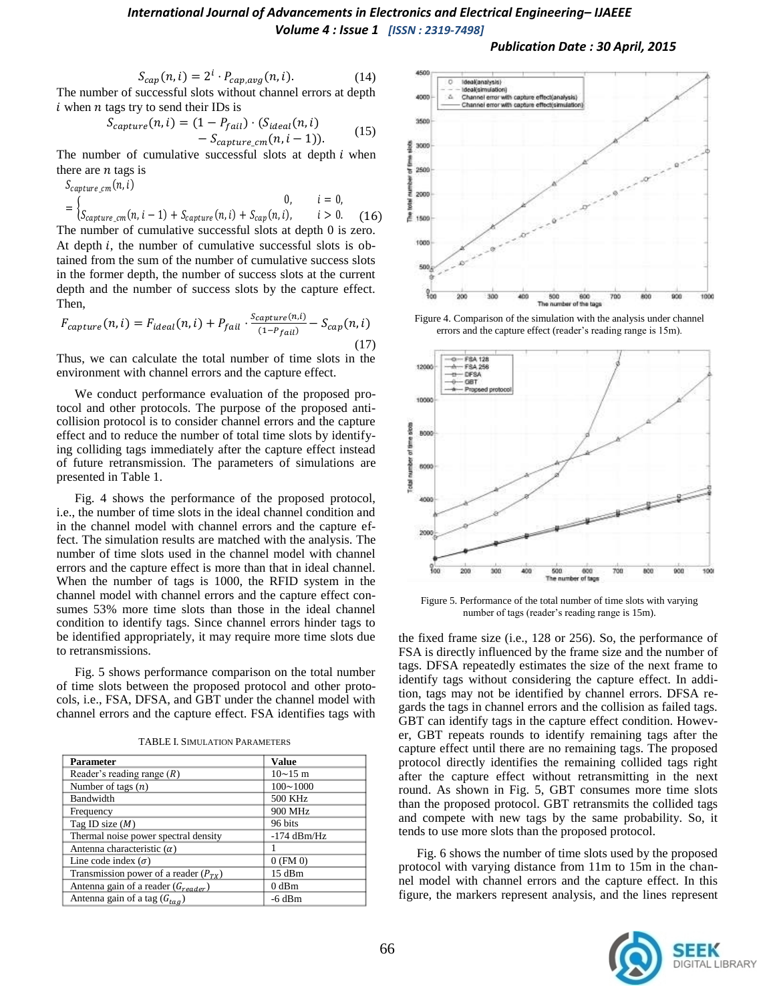#### *Publication Date : 30 April, 2015*

$$
S_{cap}(n,i) = 2i \cdot P_{cap,avg}(n,i).
$$
 (14)

The number of successful slots without channel errors at depth  $i$  when  $n$  tags try to send their IDs is

$$
S_{capture}(n, i) = (1 - P_{fail}) \cdot (S_{ideal}(n, i) - S_{capture \ cm}(n, i - 1)).
$$
 (15)

The number of cumulative successful slots at depth  $i$  when there are  $n$  tags is

$$
S_{capture\_cm}(n, i)
$$
\n
$$
= \begin{cases}\n0, & i = 0, \\
S_{capture\_cm}(n, i - 1) + S_{capture}(n, i) + S_{cap}(n, i), & i > 0.\n\end{cases}
$$
\n(16)

The number of cumulative successful slots at depth 0 is zero. At depth  $i$ , the number of cumulative successful slots is obtained from the sum of the number of cumulative success slots in the former depth, the number of success slots at the current depth and the number of success slots by the capture effect. Then,

$$
F_{capture}(n, i) = F_{ideal}(n, i) + P_{fail} \cdot \frac{S_{capture}(n, i)}{(1 - P_{fail})} - S_{cap}(n, i)
$$
\n(17)

Thus, we can calculate the total number of time slots in the environment with channel errors and the capture effect.

We conduct performance evaluation of the proposed protocol and other protocols. The purpose of the proposed anticollision protocol is to consider channel errors and the capture effect and to reduce the number of total time slots by identifying colliding tags immediately after the capture effect instead of future retransmission. The parameters of simulations are presented in Table 1.

Fig. 4 shows the performance of the proposed protocol, i.e., the number of time slots in the ideal channel condition and in the channel model with channel errors and the capture effect. The simulation results are matched with the analysis. The number of time slots used in the channel model with channel errors and the capture effect is more than that in ideal channel. When the number of tags is 1000, the RFID system in the channel model with channel errors and the capture effect consumes 53% more time slots than those in the ideal channel condition to identify tags. Since channel errors hinder tags to be identified appropriately, it may require more time slots due to retransmissions.

Fig. 5 shows performance comparison on the total number of time slots between the proposed protocol and other protocols, i.e., FSA, DFSA, and GBT under the channel model with channel errors and the capture effect. FSA identifies tags with

| <b>Parameter</b>                          | <b>Value</b>           |
|-------------------------------------------|------------------------|
| Reader's reading range $(R)$              | $10 \sim 15 \text{ m}$ |
| Number of tags $(n)$                      | $100 \sim 1000$        |
| Bandwidth                                 | 500 KHz                |
| Frequency                                 | 900 MHz                |
| Tag ID size $(M)$                         | 96 bits                |
| Thermal noise power spectral density      | $-174$ dBm/Hz          |
| Antenna characteristic $(\alpha)$         |                        |
| Line code index $(\sigma)$                | $0$ (FM $\,0)$         |
| Transmission power of a reader $(P_{TX})$ | $15$ dBm               |
| Antenna gain of a reader $(G_{reader})$   | $0$ dBm                |
| Antenna gain of a tag $(G_{taq})$         | $-6$ dBm               |

TABLE I. SIMULATION PARAMETERS



Figure 4. Comparison of the simulation with the analysis under channel errors and the capture effect (reader's reading range is 15m).



Figure 5. Performance of the total number of time slots with varying number of tags (reader's reading range is 15m).

the fixed frame size (i.e., 128 or 256). So, the performance of FSA is directly influenced by the frame size and the number of tags. DFSA repeatedly estimates the size of the next frame to identify tags without considering the capture effect. In addition, tags may not be identified by channel errors. DFSA regards the tags in channel errors and the collision as failed tags. GBT can identify tags in the capture effect condition. However, GBT repeats rounds to identify remaining tags after the capture effect until there are no remaining tags. The proposed protocol directly identifies the remaining collided tags right after the capture effect without retransmitting in the next round. As shown in Fig. 5, GBT consumes more time slots than the proposed protocol. GBT retransmits the collided tags and compete with new tags by the same probability. So, it tends to use more slots than the proposed protocol.

Fig. 6 shows the number of time slots used by the proposed protocol with varying distance from 11m to 15m in the channel model with channel errors and the capture effect. In this figure, the markers represent analysis, and the lines represent

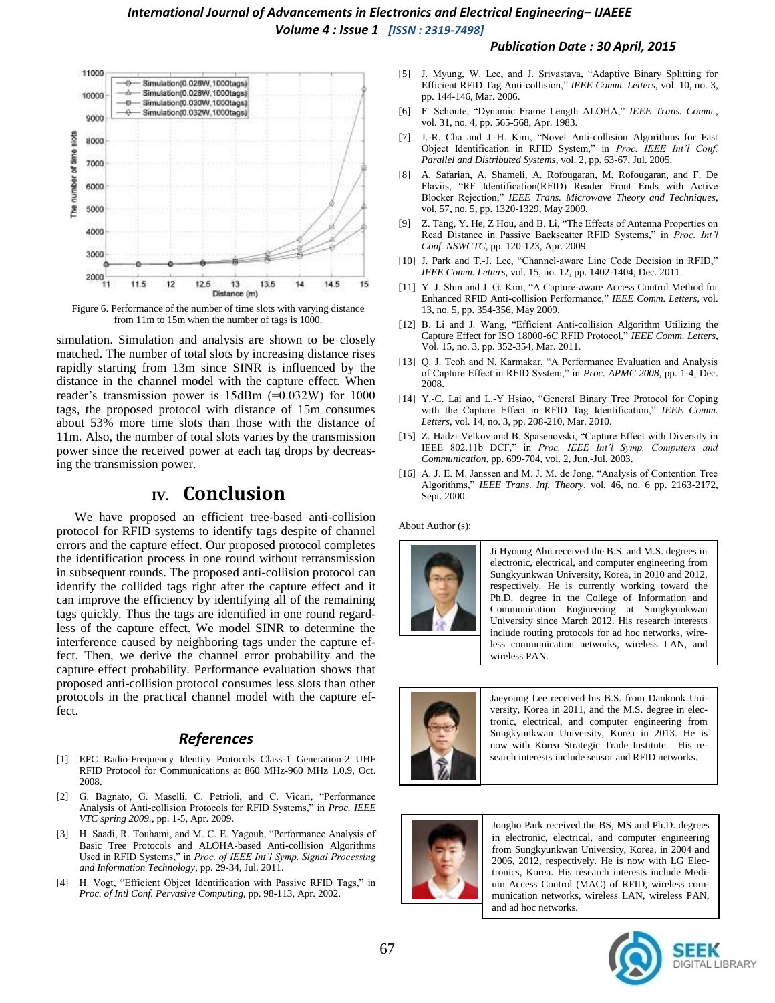

Figure 6. Performance of the number of time slots with varying distance from 11m to 15m when the number of tags is 1000.

simulation. Simulation and analysis are shown to be closely matched. The number of total slots by increasing distance rises rapidly starting from 13m since SINR is influenced by the distance in the channel model with the capture effect. When reader's transmission power is 15dBm (=0.032W) for 1000 tags, the proposed protocol with distance of 15m consumes about 53% more time slots than those with the distance of 11m. Also, the number of total slots varies by the transmission power since the received power at each tag drops by decreasing the transmission power.

# **IV. Conclusion**

We have proposed an efficient tree-based anti-collision protocol for RFID systems to identify tags despite of channel errors and the capture effect. Our proposed protocol completes the identification process in one round without retransmission in subsequent rounds. The proposed anti-collision protocol can identify the collided tags right after the capture effect and it can improve the efficiency by identifying all of the remaining tags quickly. Thus the tags are identified in one round regardless of the capture effect. We model SINR to determine the interference caused by neighboring tags under the capture effect. Then, we derive the channel error probability and the capture effect probability. Performance evaluation shows that proposed anti-collision protocol consumes less slots than other protocols in the practical channel model with the capture effect.

### *References*

- [1] EPC Radio-Frequency Identity Protocols Class-1 Generation-2 UHF RFID Protocol for Communications at 860 MHz-960 MHz 1.0.9, Oct. 2008.
- [2] G. Bagnato, G. Maselli, C. Petrioli, and C. Vicari, "Performance Analysis of Anti-collision Protocols for RFID Systems," in *Proc. IEEE VTC spring 2009.*, pp. 1-5, Apr. 2009.
- [3] H. Saadi, R. Touhami, and M. C. E. Yagoub, "Performance Analysis of Basic Tree Protocols and ALOHA-based Anti-collision Algorithms Used in RFID Systems," in *Proc. of IEEE Int'l Symp. Signal Processing and Information Technology*, pp. 29-34, Jul. 2011.
- [4] H. Vogt, "Efficient Object Identification with Passive RFID Tags," in *Proc. of Intl Conf. Pervasive Computing*, pp. 98-113, Apr. 2002.

#### *Publication Date : 30 April, 2015*

- [5] J. Myung, W. Lee, and J. Srivastava, "Adaptive Binary Splitting for Efficient RFID Tag Anti-collision," *IEEE Comm. Letters*, vol. 10, no. 3, pp. 144-146, Mar. 2006.
- [6] F. Schoute, "Dynamic Frame Length ALOHA," *IEEE Trans. Comm.*, vol. 31, no. 4, pp. 565-568, Apr. 1983.
- [7] J.-R. Cha and J.-H. Kim, "Novel Anti-collision Algorithms for Fast Object Identification in RFID System," in *Proc. IEEE Int'l Conf. Parallel and Distributed Systems*, vol. 2, pp. 63-67, Jul. 2005.
- [8] A. Safarian, A. Shameli, A. Rofougaran, M. Rofougaran, and F. De Flaviis, "RF Identification(RFID) Reader Front Ends with Active Blocker Rejection," *IEEE Trans. Microwave Theory and Techniques*, vol. 57, no. 5, pp. 1320-1329, May 2009.
- [9] Z. Tang, Y. He, Z Hou, and B. Li, "The Effects of Antenna Properties on Read Distance in Passive Backscatter RFID Systems," in *Proc. Int'l Conf. NSWCTC*, pp. 120-123, Apr. 2009.
- [10] J. Park and T.-J. Lee, "Channel-aware Line Code Decision in RFID," *IEEE Comm. Letters*, vol. 15, no. 12, pp. 1402-1404, Dec. 2011.
- [11] Y. J. Shin and J. G. Kim, "A Capture-aware Access Control Method for Enhanced RFID Anti-collision Performance," *IEEE Comm. Letters*, vol. 13, no. 5, pp. 354-356, May 2009.
- [12] B. Li and J. Wang, "Efficient Anti-collision Algorithm Utilizing the Capture Effect for ISO 18000-6C RFID Protocol," *IEEE Comm. Letters*, Vol. 15, no. 3, pp. 352-354, Mar. 2011.
- [13] Q. J. Teoh and N. Karmakar, "A Performance Evaluation and Analysis of Capture Effect in RFID System," in *Proc. APMC 2008*, pp. 1-4, Dec. 2008.
- [14] Y.-C. Lai and L.-Y Hsiao, "General Binary Tree Protocol for Coping with the Capture Effect in RFID Tag Identification," *IEEE Comm. Letters*, vol. 14, no. 3, pp. 208-210, Mar. 2010.
- [15] Z. Hadzi-Velkov and B. Spasenovski, "Capture Effect with Diversity in IEEE 802.11b DCF," in *Proc. IEEE Int'l Symp. Computers and Communication*, pp. 699-704, vol. 2, Jun.-Jul. 2003.
- [16] A. J. E. M. Janssen and M. J. M. de Jong, "Analysis of Contention Tree Algorithms," *IEEE Trans. Inf. Theory*, vol. 46, no. 6 pp. 2163-2172, Sept. 2000.

About Author (s):



Ji Hyoung Ahn received the B.S. and M.S. degrees in electronic, electrical, and computer engineering from Sungkyunkwan University, Korea, in 2010 and 2012, respectively. He is currently working toward the Ph.D. degree in the College of Information and Communication Engineering at Sungkyunkwan University since March 2012. His research interests include routing protocols for ad hoc networks, wireless communication networks, wireless LAN, and wireless PAN.



Jaeyoung Lee received his B.S. from Dankook University, Korea in 2011, and the M.S. degree in electronic, electrical, and computer engineering from Sungkyunkwan University, Korea in 2013. He is now with Korea Strategic Trade Institute. His research interests include sensor and RFID networks.



Jongho Park received the BS, MS and Ph.D. degrees in electronic, electrical, and computer engineering from Sungkyunkwan University, Korea, in 2004 and 2006, 2012, respectively. He is now with LG Electronics, Korea. His research interests include Medium Access Control (MAC) of RFID, wireless communication networks, wireless LAN, wireless PAN, and ad hoc networks.